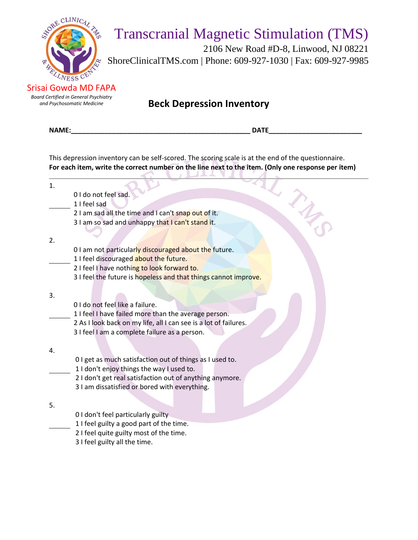

 2106 New Road #D-8, Linwood, NJ 08221 ShoreClinicalTMS.com | Phone: 609-927-1030 | Fax: 609-927-9985

Srisai Gowda MD FAPA *Board Certified in General Psychiatry*

*and Psychosomatic Medicine* **Beck Depression Inventory**

|    | This depression inventory can be self-scored. The scoring scale is at the end of the questionnaire.<br>For each item, write the correct number on the line next to the item. (Only one response per item) |
|----|-----------------------------------------------------------------------------------------------------------------------------------------------------------------------------------------------------------|
| 1. |                                                                                                                                                                                                           |
|    | 0 I do not feel sad.                                                                                                                                                                                      |
|    | 1 I feel sad                                                                                                                                                                                              |
|    | 2 I am sad all the time and I can't snap out of it.                                                                                                                                                       |
|    | 3 I am so sad and unhappy that I can't stand it.                                                                                                                                                          |
|    |                                                                                                                                                                                                           |
| 2. |                                                                                                                                                                                                           |
|    | 0 I am not particularly discouraged about the future.                                                                                                                                                     |
|    | 1 I feel discouraged about the future.                                                                                                                                                                    |
|    | 2 I feel I have nothing to look forward to.                                                                                                                                                               |
|    | 3 I feel the future is hopeless and that things cannot improve.                                                                                                                                           |
|    |                                                                                                                                                                                                           |
| 3. | 0 I do not feel like a failure.                                                                                                                                                                           |
|    | 1 I feel I have failed more than the average person.                                                                                                                                                      |
|    | 2 As I look back on my life, all I can see is a lot of failures.                                                                                                                                          |
|    | 3 I feel I am a complete failure as a person.                                                                                                                                                             |
|    |                                                                                                                                                                                                           |
| 4. |                                                                                                                                                                                                           |
|    | O I get as much satisfaction out of things as I used to.                                                                                                                                                  |
|    | 1 I don't enjoy things the way I used to.                                                                                                                                                                 |
|    | 2 I don't get real satisfaction out of anything anymore.                                                                                                                                                  |
|    | 3 I am dissatisfied or bored with everything.                                                                                                                                                             |
|    |                                                                                                                                                                                                           |
| 5. |                                                                                                                                                                                                           |
|    | 0 I don't feel particularly guilty                                                                                                                                                                        |
|    | 1 I feel guilty a good part of the time.                                                                                                                                                                  |
|    | 2 I feel quite guilty most of the time.                                                                                                                                                                   |
|    | 3 I feel guilty all the time.                                                                                                                                                                             |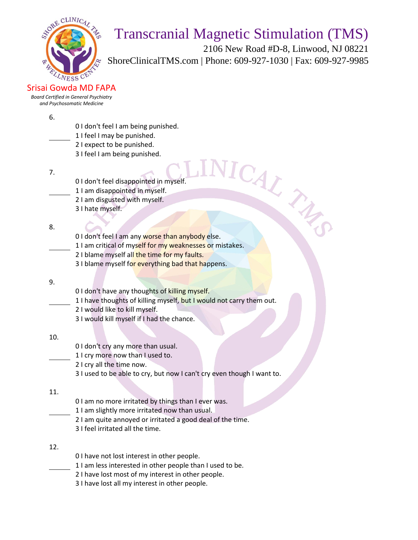

 2106 New Road #D-8, Linwood, NJ 08221 ShoreClinicalTMS.com | Phone: 609-927-1030 | Fax: 609-927-9985

Srisai Gowda MD FAPA

*Board Certified in General Psychiatry and Psychosomatic Medicine*

#### 6.

- 0 I don't feel I am being punished.
- 1 I feel I may be punished.
- 2 I expect to be punished.
- 3 I feel I am being punished.
- 7.
- 0 I don't feel disappointed in myself.
- 1 I am disappointed in myself.
- 2 I am disgusted with myself.
- 3 I hate myself.

### 8.

- 0 I don't feel I am any worse than anybody else. 1 I am disappointed in myself.<br>
1 I am disappointed in myself.<br>
2 I am disappointed in myself.<br>
3 I hate myself.<br>
1 I am critical of myself for my weaknesses or mistakes.
- 
- 2 I blame myself all the time for my faults.
- 3 I blame myself for everything bad that happens.

### 9.

- 0 I don't have any thoughts of killing myself.
- 1 I have thoughts of killing myself, but I would not carry them out.
- 2 I would like to kill myself.
	- 3 I would kill myself if I had the chance.

### 10.

- 0 I don't cry any more than usual.
- 1 I cry more now than I used to.
	- 2 I cry all the time now.
	- 3 I used to be able to cry, but now I can't cry even though I want to.

### 11.

- 0 I am no more irritated by things than I ever was.
- 1 I am slightly more irritated now than usual.
- 2 I am quite annoyed or irritated a good deal of the time.
- 3 I feel irritated all the time.

## 12.

- 0 I have not lost interest in other people.
- 1 I am less interested in other people than I used to be.
- 2 I have lost most of my interest in other people.
- 3 I have lost all my interest in other people.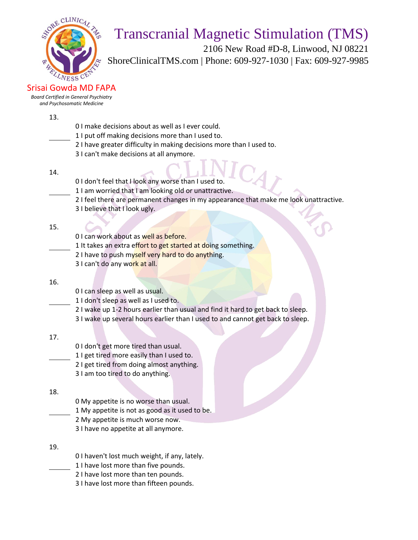

 2106 New Road #D-8, Linwood, NJ 08221 ShoreClinicalTMS.com | Phone: 609-927-1030 | Fax: 609-927-9985

Srisai Gowda MD FAPA

*Board Certified in General Psychiatry and Psychosomatic Medicine*

13.

- 0 I make decisions about as well as I ever could.
- 1 I put off making decisions more than I used to.
- 2 I have greater difficulty in making decisions more than I used to.
- 3 I can't make decisions at all anymore.
- 14.
- 0 I don't feel that I look any worse than I used to.
- 1 I am worried that I am looking old or unattractive.
- 2 I feel there are permanent changes in my appearance that make me look unattractive.
- 3 I believe that I look ugly.

15.

- 0 I can work about as well as before.
- 1 It takes an extra effort to get started at doing something.
- 2 I have to push myself very hard to do anything.
- 3 I can't do any work at all.

### 16.

- 0 I can sleep as well as usual.
- 1 I don't sleep as well as I used to.
- 2 I wake up 1-2 hours earlier than usual and find it hard to get back to sleep.
- 3 I wake up several hours earlier than I used to and cannot get back to sleep.

17.

- 0 I don't get more tired than usual.
- 1 I get tired more easily than I used to.
- 2 I get tired from doing almost anything.
- 3 I am too tired to do anything.

## 18.

- 0 My appetite is no worse than usual.
- 1 My appetite is not as good as it used to be.
- 2 My appetite is much worse now.
- 3 I have no appetite at all anymore.
- 19.
- 0 I haven't lost much weight, if any, lately.
- 1 I have lost more than five pounds.
- 2 I have lost more than ten pounds.
- 3 I have lost more than fifteen pounds.